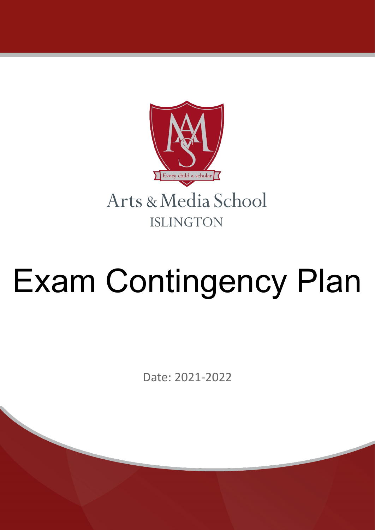

# Exam Contingency Plan

Date: 2021-2022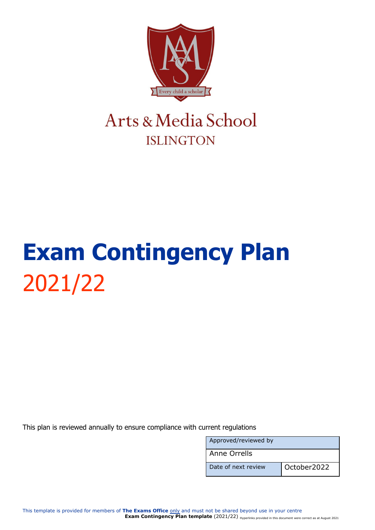

### Arts & Media School **ISLINGTON**

## **Exam Contingency Plan** 2021/22

<span id="page-1-0"></span>This plan is reviewed annually to ensure compliance with current regulations

| Approved/reviewed by |             |
|----------------------|-------------|
| Anne Orrells         |             |
| Date of next review  | October2022 |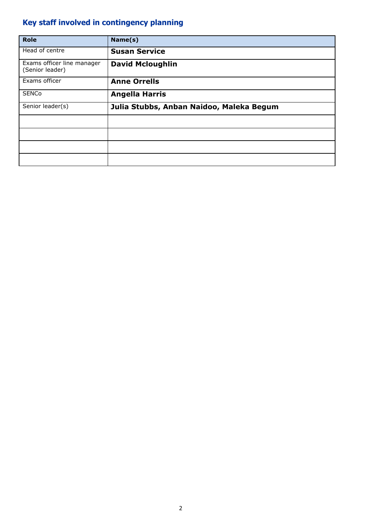#### **Key staff involved in contingency planning**

| <b>Role</b>                                   | Name(s)                                  |
|-----------------------------------------------|------------------------------------------|
| Head of centre                                | <b>Susan Service</b>                     |
| Exams officer line manager<br>(Senior leader) | <b>David Mcloughlin</b>                  |
| Exams officer                                 | <b>Anne Orrells</b>                      |
| <b>SENCo</b>                                  | <b>Angella Harris</b>                    |
| Senior leader(s)                              | Julia Stubbs, Anban Naidoo, Maleka Begum |
|                                               |                                          |
|                                               |                                          |
|                                               |                                          |
|                                               |                                          |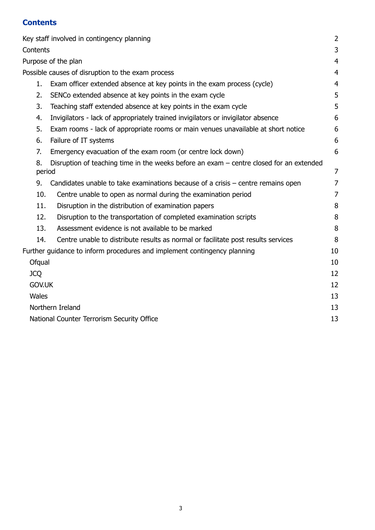#### <span id="page-3-0"></span>**Contents**

|               | Key staff involved in contingency planning                                                | $\overline{2}$ |
|---------------|-------------------------------------------------------------------------------------------|----------------|
| Contents      |                                                                                           | 3              |
|               | Purpose of the plan                                                                       | $\overline{4}$ |
|               | Possible causes of disruption to the exam process                                         | $\overline{4}$ |
| 1.            | Exam officer extended absence at key points in the exam process (cycle)                   | $\overline{4}$ |
| 2.            | SENCo extended absence at key points in the exam cycle                                    | 5              |
| 3.            | Teaching staff extended absence at key points in the exam cycle                           | 5              |
| 4.            | Invigilators - lack of appropriately trained invigilators or invigilator absence          | 6              |
| 5.            | Exam rooms - lack of appropriate rooms or main venues unavailable at short notice         | 6              |
| 6.            | Failure of IT systems                                                                     | 6              |
| 7.            | Emergency evacuation of the exam room (or centre lock down)                               | 6              |
| 8.<br>period  | Disruption of teaching time in the weeks before an exam $-$ centre closed for an extended | $\overline{7}$ |
| 9.            | Candidates unable to take examinations because of a crisis – centre remains open          | $\overline{7}$ |
| 10.           | Centre unable to open as normal during the examination period                             | 7              |
| 11.           | Disruption in the distribution of examination papers                                      | 8              |
| 12.           | Disruption to the transportation of completed examination scripts                         | 8              |
| 13.           | Assessment evidence is not available to be marked                                         | 8              |
| 14.           | Centre unable to distribute results as normal or facilitate post results services         | 8              |
|               | Further guidance to inform procedures and implement contingency planning                  | 10             |
| Ofqual        |                                                                                           | 10             |
| <b>JCQ</b>    |                                                                                           | 12             |
| <b>GOV.UK</b> |                                                                                           | 12             |
| Wales         |                                                                                           | 13             |
|               | Northern Ireland                                                                          | 13             |
|               | National Counter Terrorism Security Office                                                | 13             |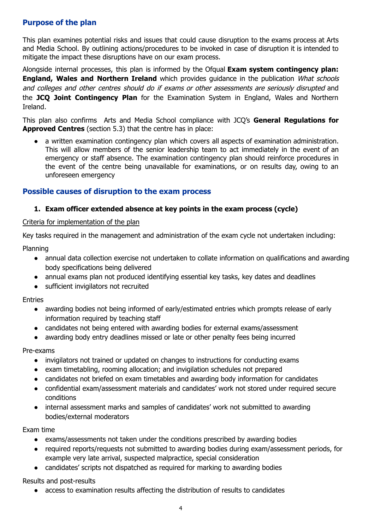#### <span id="page-4-0"></span>**Purpose of the plan**

This plan examines potential risks and issues that could cause disruption to the exams process at Arts and Media School. By outlining actions/procedures to be invoked in case of disruption it is intended to mitigate the impact these disruptions have on our exam process.

Alongside internal processes, this plan is informed by the Ofqual **Exam system contingency plan: England, Wales and Northern Ireland** which provides guidance in the publication What schools and colleges and other centres should do if exams or other assessments are seriously disrupted and the **JCQ Joint Contingency Plan** for the Examination System in England, Wales and Northern Ireland.

This plan also confirms Arts and Media School compliance with JCQ's **General Regulations for Approved Centres** (section 5.3) that the centre has in place:

● a written examination contingency plan which covers all aspects of examination administration. This will allow members of the senior leadership team to act immediately in the event of an emergency or staff absence. The examination contingency plan should reinforce procedures in the event of the centre being unavailable for examinations, or on results day, owing to an unforeseen emergency

#### <span id="page-4-1"></span>**Possible causes of disruption to the exam process**

#### <span id="page-4-2"></span>**1. Exam officer extended absence at key points in the exam process (cycle)**

#### Criteria for implementation of the plan

Key tasks required in the management and administration of the exam cycle not undertaken including:

Planning

- annual data collection exercise not undertaken to collate information on qualifications and awarding body specifications being delivered
- annual exams plan not produced identifying essential key tasks, key dates and deadlines
- sufficient invigilators not recruited

Entries

- awarding bodies not being informed of early/estimated entries which prompts release of early information required by teaching staff
- candidates not being entered with awarding bodies for external exams/assessment
- awarding body entry deadlines missed or late or other penalty fees being incurred

Pre-exams

- invigilators not trained or updated on changes to instructions for conducting exams
- exam timetabling, rooming allocation; and invigilation schedules not prepared
- candidates not briefed on exam timetables and awarding body information for candidates
- confidential exam/assessment materials and candidates' work not stored under required secure conditions
- internal assessment marks and samples of candidates' work not submitted to awarding bodies/external moderators

Exam time

- exams/assessments not taken under the conditions prescribed by awarding bodies
- required reports/requests not submitted to awarding bodies during exam/assessment periods, for example very late arrival, suspected malpractice, special consideration
- candidates' scripts not dispatched as required for marking to awarding bodies

Results and post-results

● access to examination results affecting the distribution of results to candidates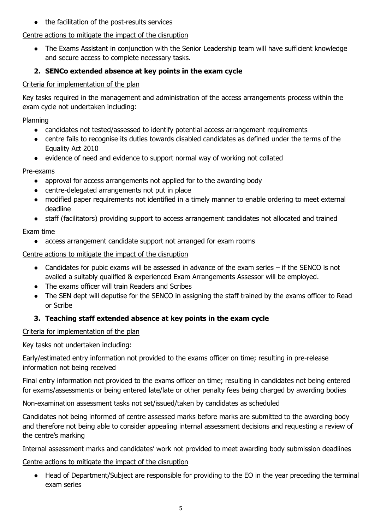● the facilitation of the post-results services

#### Centre actions to mitigate the impact of the disruption

● The Exams Assistant in conjunction with the Senior Leadership team will have sufficient knowledge and secure access to complete necessary tasks.

#### <span id="page-5-0"></span>**2. SENCo extended absence at key points in the exam cycle**

#### Criteria for implementation of the plan

Key tasks required in the management and administration of the access arrangements process within the exam cycle not undertaken including:

Planning

- candidates not tested/assessed to identify potential access arrangement requirements
- centre fails to recognise its duties towards disabled candidates as defined under the terms of the Equality Act 2010
- evidence of need and evidence to support normal way of working not collated

Pre-exams

- approval for access arrangements not applied for to the awarding body
- centre-delegated arrangements not put in place
- modified paper requirements not identified in a timely manner to enable ordering to meet external deadline
- staff (facilitators) providing support to access arrangement candidates not allocated and trained

Exam time

● access arrangement candidate support not arranged for exam rooms

Centre actions to mitigate the impact of the disruption

- Candidates for pubic exams will be assessed in advance of the exam series if the SENCO is not availed a suitably qualified & experienced Exam Arrangements Assessor will be employed.
- The exams officer will train Readers and Scribes
- The SEN dept will deputise for the SENCO in assigning the staff trained by the exams officer to Read or Scribe

#### <span id="page-5-1"></span>**3. Teaching staff extended absence at key points in the exam cycle**

Criteria for implementation of the plan

Key tasks not undertaken including:

Early/estimated entry information not provided to the exams officer on time; resulting in pre-release information not being received

Final entry information not provided to the exams officer on time; resulting in candidates not being entered for exams/assessments or being entered late/late or other penalty fees being charged by awarding bodies

Non-examination assessment tasks not set/issued/taken by candidates as scheduled

Candidates not being informed of centre assessed marks before marks are submitted to the awarding body and therefore not being able to consider appealing internal assessment decisions and requesting a review of the centre's marking

Internal assessment marks and candidates' work not provided to meet awarding body submission deadlines

Centre actions to mitigate the impact of the disruption

Head of Department/Subject are responsible for providing to the EO in the year preceding the terminal exam series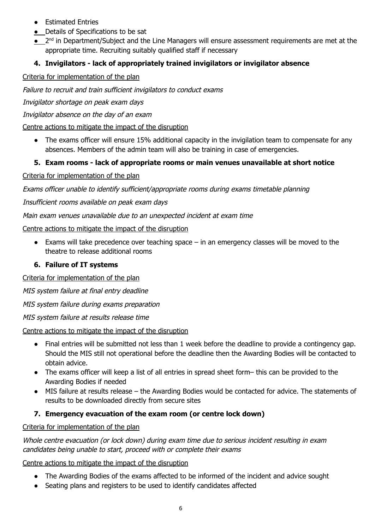- **Estimated Entries**
- Details of Specifications to be sat
- $\bullet$   $2^{\text{nd}}$  in Department/Subject and the Line Managers will ensure assessment requirements are met at the appropriate time. Recruiting suitably qualified staff if necessary

#### <span id="page-6-0"></span>**4. Invigilators - lack of appropriately trained invigilators or invigilator absence**

Criteria for implementation of the plan

Failure to recruit and train sufficient invigilators to conduct exams

Invigilator shortage on peak exam days

Invigilator absence on the day of an exam

Centre actions to mitigate the impact of the disruption

• The exams officer will ensure 15% additional capacity in the invigilation team to compensate for any absences. Members of the admin team will also be training in case of emergencies.

#### <span id="page-6-1"></span>**5. Exam rooms - lack of appropriate rooms or main venues unavailable at short notice**

Criteria for implementation of the plan

Exams officer unable to identify sufficient/appropriate rooms during exams timetable planning

Insufficient rooms available on peak exam days

Main exam venues unavailable due to an unexpected incident at exam time

Centre actions to mitigate the impact of the disruption

● Exams will take precedence over teaching space – in an emergency classes will be moved to the theatre to release additional rooms

#### <span id="page-6-2"></span>**6. Failure of IT systems**

Criteria for implementation of the plan

MIS system failure at final entry deadline

MIS system failure during exams preparation

MIS system failure at results release time

Centre actions to mitigate the impact of the disruption

- Final entries will be submitted not less than 1 week before the deadline to provide a contingency gap. Should the MIS still not operational before the deadline then the Awarding Bodies will be contacted to obtain advice.
- The exams officer will keep a list of all entries in spread sheet form– this can be provided to the Awarding Bodies if needed
- MIS failure at results release the Awarding Bodies would be contacted for advice. The statements of results to be downloaded directly from secure sites

#### <span id="page-6-3"></span>**7. Emergency evacuation of the exam room (or centre lock down)**

#### Criteria for implementation of the plan

Whole centre evacuation (or lock down) during exam time due to serious incident resulting in exam candidates being unable to start, proceed with or complete their exams

Centre actions to mitigate the impact of the disruption

- The Awarding Bodies of the exams affected to be informed of the incident and advice sought
- Seating plans and registers to be used to identify candidates affected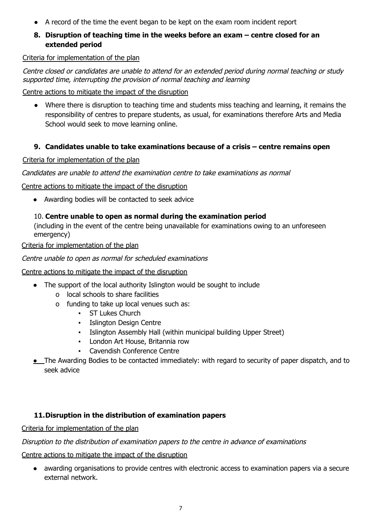● A record of the time the event began to be kept on the exam room incident report

#### **8. Disruption of teaching time in the weeks before an exam – centre closed for an extended period**

#### <span id="page-7-0"></span>Criteria for implementation of the plan

Centre closed or candidates are unable to attend for an extended period during normal teaching or study supported time, interrupting the provision of normal teaching and learning

Centre actions to mitigate the impact of the disruption

● Where there is disruption to teaching time and students miss teaching and learning, it remains the responsibility of centres to prepare students, as usual, for examinations therefore Arts and Media School would seek to move learning online.

#### <span id="page-7-1"></span>**9. Candidates unable to take examinations because of a crisis – centre remains open**

#### Criteria for implementation of the plan

Candidates are unable to attend the examination centre to take examinations as normal

Centre actions to mitigate the impact of the disruption

● Awarding bodies will be contacted to seek advice

#### <span id="page-7-2"></span>10. **Centre unable to open as normal during the examination period**

(including in the event of the centre being unavailable for examinations owing to an unforeseen emergency)

Criteria for implementation of the plan

Centre unable to open as normal for scheduled examinations

#### Centre actions to mitigate the impact of the disruption

- The support of the local authority Islington would be sought to include
	- o local schools to share facilities
	- o funding to take up local venues such as:
		- ST Lukes Church
		- Islington Design Centre
		- Islington Assembly Hall (within municipal building Upper Street)
		- London Art House, Britannia row
		- Cavendish Conference Centre
- **•** The Awarding Bodies to be contacted immediately: with regard to security of paper dispatch, and to seek advice

#### <span id="page-7-3"></span>**11.Disruption in the distribution of examination papers**

#### Criteria for implementation of the plan

Disruption to the distribution of examination papers to the centre in advance of examinations

Centre actions to mitigate the impact of the disruption

● awarding organisations to provide centres with electronic access to examination papers via a secure external network.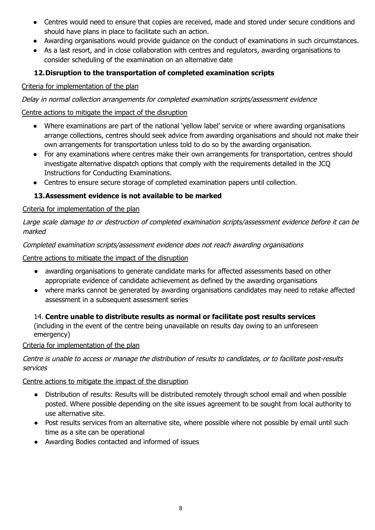- Centres would need to ensure that copies are received, made and stored under secure conditions and should have plans in place to facilitate such an action.
- Awarding organisations would provide guidance on the conduct of examinations in such circumstances.
- As a last resort, and in close collaboration with centres and regulators, awarding organisations to consider scheduling of the examination on an alternative date

#### <span id="page-8-0"></span>**12.Disruption to the transportation of completed examination scripts**

#### Criteria for implementation of the plan

Delay in normal collection arrangements for completed examination scripts/assessment evidence

#### Centre actions to mitigate the impact of the disruption

- Where examinations are part of the national 'yellow label' service or where awarding organisations arrange collections, centres should seek advice from awarding organisations and should not make their own arrangements for transportation unless told to do so by the awarding organisation.
- For any examinations where centres make their own arrangements for transportation, centres should investigate alternative dispatch options that comply with the requirements detailed in the JCQ Instructions for Conducting Examinations.
- Centres to ensure secure storage of completed examination papers until collection.

#### <span id="page-8-1"></span>**13.Assessment evidence is not available to be marked**

#### Criteria for implementation of the plan

Large scale damage to or destruction of completed examination scripts/assessment evidence before it can be marked

Completed examination scripts/assessment evidence does not reach awarding organisations

Centre actions to mitigate the impact of the disruption

- awarding organisations to generate candidate marks for affected assessments based on other appropriate evidence of candidate achievement as defined by the awarding organisations
- where marks cannot be generated by awarding organisations candidates may need to retake affected assessment in a subsequent assessment series

#### <span id="page-8-2"></span>14. **Centre unable to distribute results as normal or facilitate post results services**

(including in the event of the centre being unavailable on results day owing to an unforeseen emergency)

#### Criteria for implementation of the plan

Centre is unable to access or manage the distribution of results to candidates, or to facilitate post-results services

#### Centre actions to mitigate the impact of the disruption

- Distribution of results: Results will be distributed remotely through school email and when possible posted. Where possible depending on the site issues agreement to be sought from local authority to use alternative site.
- Post results services from an alternative site, where possible where not possible by email until such time as a site can be operational
- Awarding Bodies contacted and informed of issues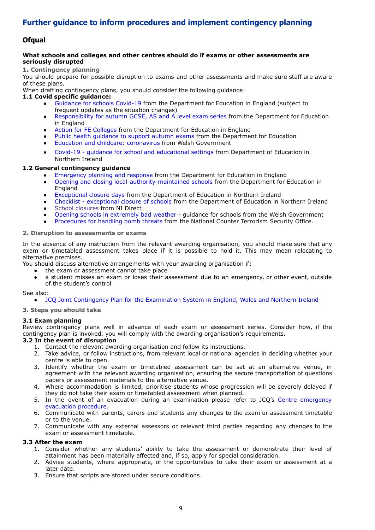#### <span id="page-9-0"></span>**Further guidance to inform procedures and implement contingency planning**

#### <span id="page-9-1"></span>**Ofqual**

#### **What schools and colleges and other centres should do if exams or other assessments are seriously disrupted**

#### **1. Contingency planning**

You should prepare for possible disruption to exams and other assessments and make sure staff are aware of these plans.

When drafting contingency plans, you should consider the following guidance:

#### **1.1 Covid specific guidance:**

- [Guidance for schools Covid-19](https://www.gov.uk/government/collections/guidance-for-schools-coronavirus-covid-19#safe-working-and-protective-measures) from the Department for Education in England (subject to frequent updates as the situation changes)
- [Responsibility for autumn GCSE, AS and A level exam series](https://www.gov.uk/government/publications/responsibility-for-autumn-gcse-as-and-a-level-exam-series) from the Department for Education in England
- [Action for FE Colleges](https://www.gov.uk/government/publications/coronavirus-covid-19-maintaining-further-education-provision) from the Department for Education in England
- [Public health guidance to support autumn exams](https://www.gov.uk/government/publications/responsibility-for-autumn-gcse-as-and-a-level-exam-series/public-health-arrangements-for-autumn-exams) from the Department for Education
- [Education and childcare: coronavirus](https://gov.wales/education-coronavirus) from Welsh Government
- **●** [Covid-19 guidance for school and educational settings](https://www.education-ni.gov.uk/publications/coronavirus-covid-19-guidance-school-and-educational-settings-northern-ireland) from Department of Education in Northern Ireland

#### **1.2 General contingency guidance**

- [Emergency planning and response](https://www.gov.uk/guidance/emergencies-and-severe-weather-schools-and-early-years-settings) from the Department for Education in England
- [Opening and closing local-authority-maintained schools](https://www.gov.uk/government/publications/school-organisation-maintained-schools) from the Department for Education in England
- [Exceptional closure days](https://www.education-ni.gov.uk/articles/exceptional-closure-days) from the Department of Education in Northern Ireland
- [Checklist exceptional closure of schools](https://www.education-ni.gov.uk/publications/checklist-exceptional-closure-schools) from the Department of Education in Northern Ireland
- [School closures](https://gov.wales/opening-schools-extremely-bad-weather-guidance-schools) from NI Direct
- [Opening schools in extremely bad weather](https://gov.wales/opening-schools-extremely-bad-weather-guidance-schools) guidance for schools from the Welsh Government
- [Procedures for handling bomb threats](https://www.gov.uk/government/publications/bomb-threats-guidance) from the National Counter Terrorism Security Office.

#### **2. Disruption to assessments or exams**

In the absence of any instruction from the relevant awarding organisation, you should make sure that any exam or timetabled assessment takes place if it is possible to hold it. This may mean relocating to alternative premises.

You should discuss alternative arrangements with your awarding organisation if:

- the exam or assessment cannot take place
- a student misses an exam or loses their assessment due to an emergency, or other event, outside of the student's control

See also:

[JCQ Joint Contingency Plan for the Examination System in England, Wales and Northern Ireland](https://www.jcq.org.uk/exams-office/other-documents/jcq-joint-contingency-plan/)

#### **3. Steps you should take**

#### **3.1 Exam planning**

Review contingency plans well in advance of each exam or assessment series. Consider how, if the contingency plan is invoked, you will comply with the awarding organisation's requirements.

#### **3.2 In the event of disruption**

- 1. Contact the relevant awarding organisation and follow its instructions.
- 2. Take advice, or follow instructions, from relevant local or national agencies in deciding whether your centre is able to open.
- 3. Identify whether the exam or timetabled assessment can be sat at an alternative venue, in agreement with the relevant awarding organisation, ensuring the secure transportation of questions papers or assessment materials to the alternative venue.
- 4. Where accommodation is limited, prioritise students whose progression will be severely delayed if they do not take their exam or timetabled assessment when planned.
- 5. In the event of an evacuation during an examination please refer to JCQ's Centre [emergency](https://www.jcq.org.uk/exams-office/ice---instructions-for-conducting-examinations/centre-emergency-evacuation-procedure) [evacuation procedure.](https://www.jcq.org.uk/exams-office/ice---instructions-for-conducting-examinations/centre-emergency-evacuation-procedure)
- 6. Communicate with parents, carers and students any changes to the exam or assessment timetable or to the venue.
- 7. Communicate with any external assessors or relevant third parties regarding any changes to the exam or assessment timetable.

#### **3.3 After the exam**

- 1. Consider whether any students' ability to take the assessment or demonstrate their level of attainment has been materially affected and, if so, apply for special consideration.
- 2. Advise students, where appropriate, of the opportunities to take their exam or assessment at a later date.
- 3. Ensure that scripts are stored under secure conditions.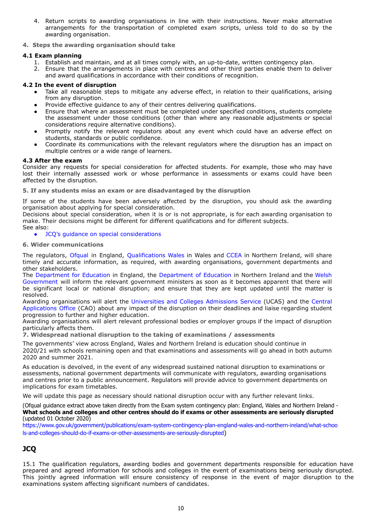- 4. Return scripts to awarding organisations in line with their instructions. Never make alternative arrangements for the transportation of completed exam scripts, unless told to do so by the awarding organisation.
- **4. Steps the awarding organisation should take**

#### **4.1 Exam planning**

- 1. Establish and maintain, and at all times comply with, an up-to-date, written contingency plan.
- 2. Ensure that the arrangements in place with centres and other third parties enable them to deliver and award qualifications in accordance with their conditions of recognition.

#### **4.2 In the event of disruption**

- Take all reasonable steps to mitigate any adverse effect, in relation to their qualifications, arising from any disruption.
- Provide effective guidance to any of their centres delivering qualifications.
- Ensure that where an assessment must be completed under specified conditions, students complete the assessment under those conditions (other than where any reasonable adjustments or special considerations require alternative conditions).
- Promptly notify the relevant regulators about any event which could have an adverse effect on students, standards or public confidence.
- Coordinate its communications with the relevant regulators where the disruption has an impact on multiple centres or a wide range of learners.

#### **4.3 After the exam**

Consider any requests for special consideration for affected students. For example, those who may have lost their internally assessed work or whose performance in assessments or exams could have been affected by the disruption.

**5. If any students miss an exam or are disadvantaged by the disruption**

If some of the students have been adversely affected by the disruption, you should ask the awarding organisation about applying for special consideration.

Decisions about special consideration, when it is or is not appropriate, is for each awarding organisation to make. Their decisions might be different for different qualifications and for different subjects. See also:

[JCQ's guidance on special considerations](https://www.jcq.org.uk/exams-office/access-arrangements-and-special-consideration/regulations-and-guidance)

#### **6. Wider communications**

The regulators, [Ofqual](https://www.gov.uk/ofqual) in England, [Qualifications](http://qualificationswales.org/) Wales in Wales and [CCEA](http://ccea.org.uk/) in Northern Ireland, will share timely and accurate information, as required, with awarding organisations, government departments and other stakeholders.

The [Department](https://www.gov.uk/government/organisations/department-for-education) for Education in England, the [Department](https://www.education-ni.gov.uk/) of Education in Northern Ireland and the [Welsh](http://gov.wales/topics/educationandskills/?lang=en) [Government](http://gov.wales/topics/educationandskills/?lang=en) will inform the relevant government ministers as soon as it becomes apparent that there will be significant local or national disruption; and ensure that they are kept updated until the matter is resolved.

Awarding organisations will alert the [Universities](https://www.ucas.com/) and Colleges Admissions Service (UCAS) and the [Central](http://www.cao.ie/) [Applications](http://www.cao.ie/) Office (CAO) about any impact of the disruption on their deadlines and liaise regarding student progression to further and higher education.

Awarding organisations will alert relevant professional bodies or employer groups if the impact of disruption particularly affects them.

**7. Widespread national disruption to the taking of examinations / assessments**

The governments' view across England, Wales and Northern Ireland is education should continue in 2020/21 with schools remaining open and that examinations and assessments will go ahead in both autumn 2020 and summer 2021.

As education is devolved, in the event of any widespread sustained national disruption to examinations or assessments, national government departments will communicate with regulators, awarding organisations and centres prior to a public announcement. Regulators will provide advice to government departments on implications for exam timetables.

We will update this page as necessary should national disruption occur with any further relevant links.

(Ofqual guidance extract above taken directly from the Exam system contingency plan: England, Wales and Northern Ireland - **What schools and colleges and other centres should do if exams or other assessments are seriously disrupted** (updated 01 October 2020)

[https://www.gov.uk/government/publications/exam-system-contingency-plan-england-wales-and-northern-ireland/what-schoo](https://www.gov.uk/government/publications/exam-system-contingency-plan-england-wales-and-northern-ireland/what-schools-and-colleges-should-do-if-exams-or-other-assessments-are-seriously-disrupted) [ls-and-colleges-should-do-if-exams-or-other-assessments-are-seriously-disrupted](https://www.gov.uk/government/publications/exam-system-contingency-plan-england-wales-and-northern-ireland/what-schools-and-colleges-should-do-if-exams-or-other-assessments-are-seriously-disrupted))

#### <span id="page-10-0"></span>**JCQ**

15.1 The qualification regulators, awarding bodies and government departments responsible for education have prepared and agreed information for schools and colleges in the event of examinations being seriously disrupted. This jointly agreed information will ensure consistency of response in the event of major disruption to the examinations system affecting significant numbers of candidates.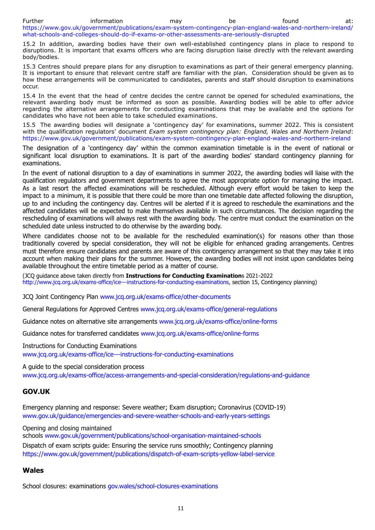#### Further information may be found at: [https://www.gov.uk/government/publications/exam-system-contingency-plan-england-wales-and-northern-ireland/](https://www.gov.uk/government/publications/exam-system-contingency-plan-england-wales-and-northern-ireland/what-schools-and-colleges-should-do-if-exams-or-other-assessments-are-seriously-disrupted) [what-schools-and-colleges-should-do-if-exams-or-other-assessments-are-seriously-disrupted](https://www.gov.uk/government/publications/exam-system-contingency-plan-england-wales-and-northern-ireland/what-schools-and-colleges-should-do-if-exams-or-other-assessments-are-seriously-disrupted)

15.2 In addition, awarding bodies have their own well-established contingency plans in place to respond to disruptions. It is important that exams officers who are facing disruption liaise directly with the relevant awarding body/bodies.

15.3 Centres should prepare plans for any disruption to examinations as part of their general emergency planning. It is important to ensure that relevant centre staff are familiar with the plan. Consideration should be given as to how these arrangements will be communicated to candidates, parents and staff should disruption to examinations occur.

15.4 In the event that the head of centre decides the centre cannot be opened for scheduled examinations, the relevant awarding body must be informed as soon as possible. Awarding bodies will be able to offer advice regarding the alternative arrangements for conducting examinations that may be available and the options for candidates who have not been able to take scheduled examinations.

15.5 The awarding bodies will designate a 'contingency day' for examinations, summer 2022. This is consistent with the qualification regulators' document *Exam system contingency plan: England, Wales and Northern Ireland*: <https://www.gov.uk/government/publications/exam-system-contingency-plan-england-wales-and-northern-ireland>

The designation of a 'contingency day' within the common examination timetable is in the event of national or significant local disruption to examinations. It is part of the awarding bodies' standard contingency planning for examinations.

In the event of national disruption to a day of examinations in summer 2022, the awarding bodies will liaise with the qualification regulators and government departments to agree the most appropriate option for managing the impact. As a last resort the affected examinations will be rescheduled. Although every effort would be taken to keep the impact to a minimum, it is possible that there could be more than one timetable date affected following the disruption, up to and including the contingency day. Centres will be alerted if it is agreed to reschedule the examinations and the affected candidates will be expected to make themselves available in such circumstances. The decision regarding the rescheduling of examinations will always rest with the awarding body. The centre must conduct the examination on the scheduled date unless instructed to do otherwise by the awarding body.

Where candidates choose not to be available for the rescheduled examination(s) for reasons other than those traditionally covered by special consideration, they will not be eligible for enhanced grading arrangements. Centres must therefore ensure candidates and parents are aware of this contingency arrangement so that they may take it into account when making their plans for the summer. However, the awarding bodies will not insist upon candidates being available throughout the entire timetable period as a matter of course.

(JCQ guidance above taken directly from **Instructions for Conducting Examination**s 2021-2022 [http://www.jcq.org.uk/exams-office/ice---instructions-for-conducting-examinations,](http://www.jcq.org.uk/exams-office/ice---instructions-for-conducting-examinations) section 15, Contingency planning)

JCQ Joint Contingency Plan [www.jcq.org.uk/exams-office/other-documents](http://www.jcq.org.uk/exams-office/other-documents)

General Regulations for Approved Centres [www.jcq.org.uk/exams-office/general-regulations](http://www.jcq.org.uk/exams-office/general-regulations)

Guidance notes on alternative site arrangements [www.jcq.org.uk/exams-office/online-forms](http://www.jcq.org.uk/exams-office/online-forms)

Guidance notes for transferred candidates [www.jcq.org.uk/exams-office/online-forms](http://www.jcq.org.uk/exams-office/online-forms)

Instructions for Conducting Examinations

[www.jcq.org.uk/exams-office/ice---instructions-for-conducting-examinations](http://www.jcq.org.uk/exams-office/ice---instructions-for-conducting-examinations)

A guide to the special consideration process

[www.jcq.org.uk/exams-office/access-arrangements-and-special-consideration/regulations-and-guidance](http://www.jcq.org.uk/exams-office/access-arrangements-and-special-consideration/regulations-and-guidance)

#### <span id="page-11-0"></span>**GOV.UK**

Emergency planning and response: Severe weather; Exam disruption; Coronavirus (COVID-19) [www.gov.uk/guidance/emergencies-and-severe-weather-schools-and-early-years-settings](http://www.gov.uk/guidance/emergencies-and-severe-weather-schools-and-early-years-settings)

Opening and closing maintained

schools [www.gov.uk/government/publications/school-organisation-maintained-schools](http://www.gov.uk/government/publications/school-organisation-maintained-schools) Dispatch of exam scripts guide: Ensuring the service runs smoothly; Contingency planning <https://www.gov.uk/government/publications/dispatch-of-exam-scripts-yellow-label-service>

#### <span id="page-11-1"></span>**Wales**

School closures: examinations [gov.wales/school-closures-examinations](https://gov.wales/school-closures-examinations)